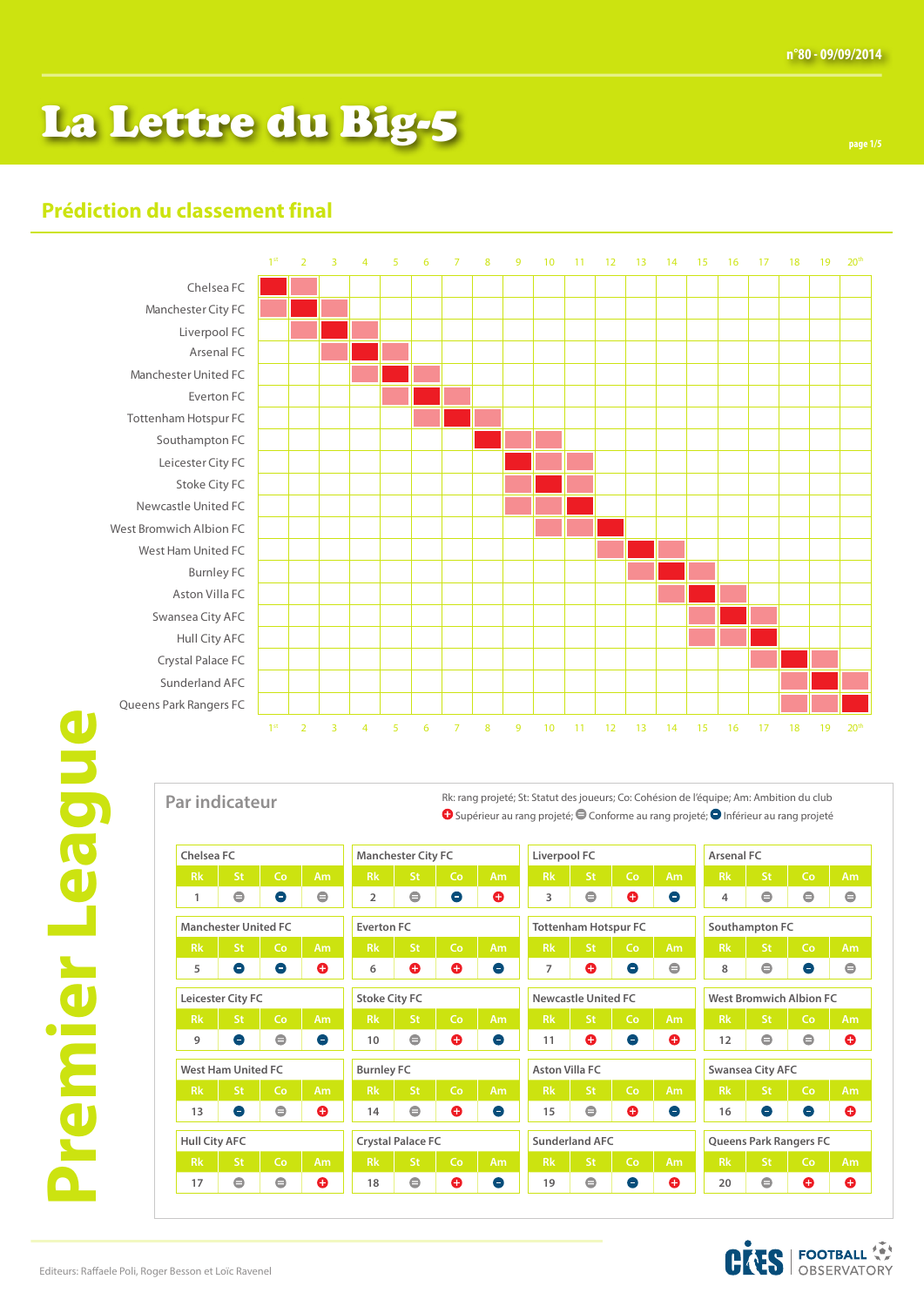### **Prédiction du classement final**



**Rk St Co Am Rk St Co Am Rk St Co Am Rk St Co Am**

**Rk St Co Am Rk St Co Am Rk St Co Am Rk St Co Am**

**Hull City AFC Crystal Palace FC Sunderland AFC Queens Park Rangers FC Rk St Co Am Rk St Co Am Rk St Co Am Rk St Co Am**

**9 10 11 12**

**13 14 14 14 14 15 15 16 0 1 16** 

**17 19 19 19 118 19 <b>19 19 19 19 19 19 1 20** 

**West Ham United FC Burnley FC Aston Villa FC Aston Villa FC Swansea City AFC** 

 $\bullet$ 

 $\bullet$ 

 $\bigoplus$ 

 $\bigcirc$ 

 $\bullet$ 

Ô

 $\bullet$ 

 $\bullet$ 

 $\bullet$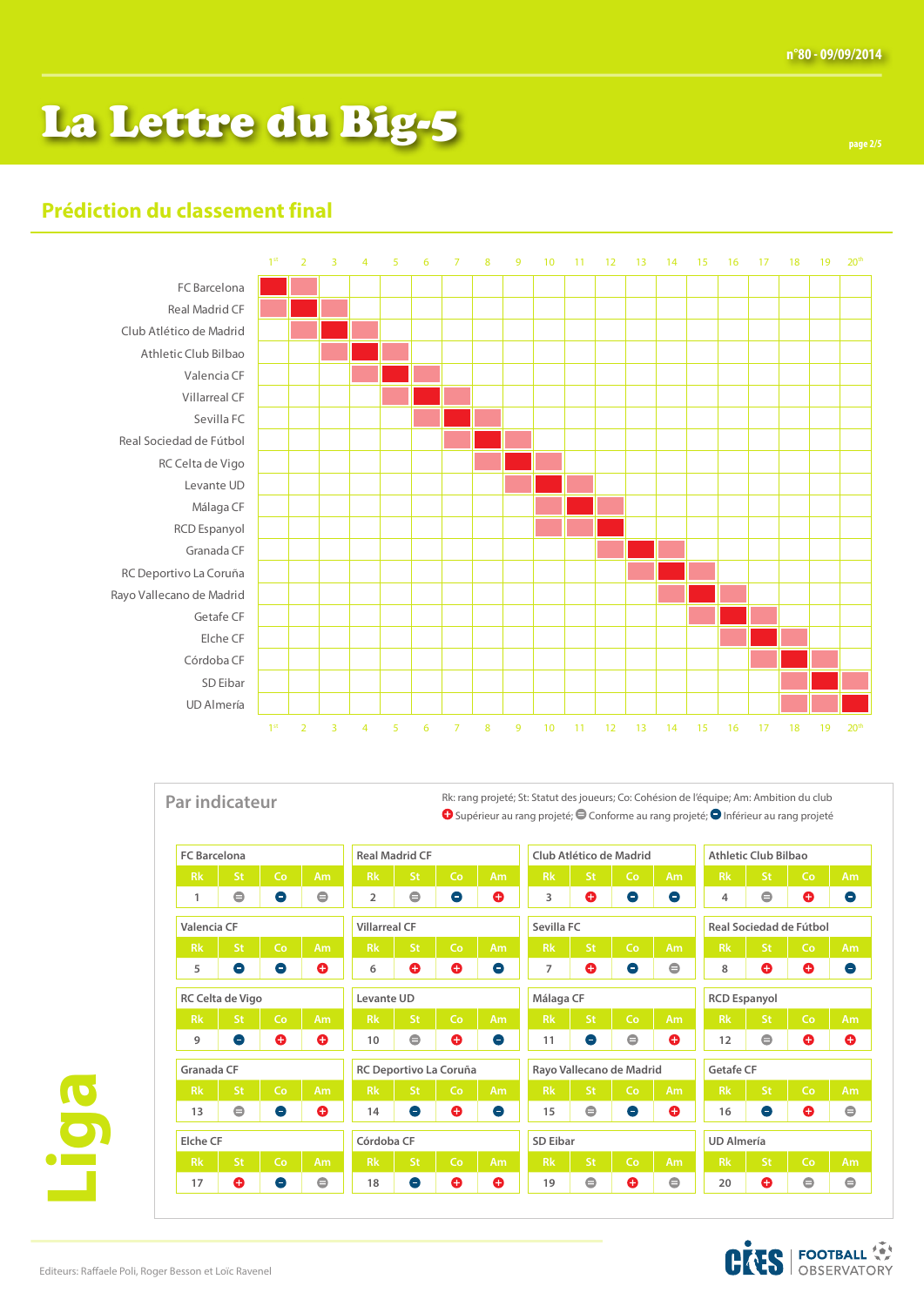### **Prédiction du classement final**



|                     | Par indicateur |           |           |                        |           |    |           | Rk: rang projeté; St: Statut des joueurs; Co: Cohésion de l'équipe; Am: Ambition du club<br>● Supérieur au rang projeté; ● Conforme au rang projeté; ● Inférieur au rang projeté |            |           |                |                             |           |           |                |
|---------------------|----------------|-----------|-----------|------------------------|-----------|----|-----------|----------------------------------------------------------------------------------------------------------------------------------------------------------------------------------|------------|-----------|----------------|-----------------------------|-----------|-----------|----------------|
| <b>FC</b> Barcelona |                |           |           | <b>Real Madrid CF</b>  |           |    |           | Club Atlético de Madrid                                                                                                                                                          |            |           |                | <b>Athletic Club Bilbao</b> |           |           |                |
| <b>Rk</b>           | <b>St</b>      | Co        | Am        | <b>Rk</b>              | <b>St</b> | Co | Am        | <b>Rk</b>                                                                                                                                                                        | St:        | Co        | Am             | <b>Rk</b>                   | St.       | Co        | A <sub>m</sub> |
| $\mathbf{1}$        | $\bullet$      | $\bullet$ | $\bullet$ | $\overline{2}$         | $\bullet$ | Θ  | €         | 3                                                                                                                                                                                | 0          | $\bullet$ | $\bullet$      | 4                           | $\bullet$ | O         | $\bullet$      |
| Valencia CF         |                |           |           | <b>Villarreal CF</b>   |           |    |           | Sevilla FC                                                                                                                                                                       |            |           |                | Real Sociedad de Fútbol     |           |           |                |
| <b>Rk</b>           | St             | Co        | Am        | <b>Rk</b>              | St        | Co | Am        | <b>Rk</b>                                                                                                                                                                        | <b>St</b>  | Co        | Am             | <b>Rk</b>                   | St.       | Co        | Am             |
| 5                   | $\bullet$      | $\bullet$ | €         | 6                      | €         | O  | $\bullet$ | 7                                                                                                                                                                                | O          | $\bullet$ | $\bigcirc$     | 8                           | €         | Ô         | $\bullet$      |
| RC Celta de Vigo    |                |           |           | Levante UD             |           |    |           | Málaga CF                                                                                                                                                                        |            |           |                | <b>RCD Espanyol</b>         |           |           |                |
| <b>Rk</b>           | St             | Co        | Am        | <b>Rk</b>              | St        | Co | Am        | <b>Rk</b>                                                                                                                                                                        | <b>St</b>  | Co        | A <sub>m</sub> | <b>Rk</b>                   | <b>St</b> | Co        | Am             |
| 9                   | $\bullet$      | €         | 0         | 10                     | $\bullet$ | €  | Θ         | 11                                                                                                                                                                               | $\bullet$  | $\bullet$ | Q              | 12                          | $\bullet$ | €         | $\bullet$      |
| Granada CF          |                |           |           | RC Deportivo La Coruña |           |    |           | Rayo Vallecano de Madrid                                                                                                                                                         |            |           |                | Getafe CF                   |           |           |                |
| <b>Rk</b>           | <b>St</b>      | Co        | Am        | <b>Rk</b>              | St        | Co | Am        | <b>Rk</b>                                                                                                                                                                        | St:        | Co        | Am             | <b>Rk</b>                   | St.       | Co        | Am             |
| 13                  | $\bullet$      | $\bullet$ | 0         | 14                     | Θ         | €  | $\bullet$ | 15                                                                                                                                                                               | $\bigcirc$ | $\bullet$ | €              | 16                          | Θ         | €         | $\bullet$      |
| Elche CF            |                |           |           | Córdoba CF             |           |    |           | <b>SD Eibar</b>                                                                                                                                                                  |            |           |                | <b>UD Almería</b>           |           |           |                |
| <b>Rk</b>           | St             | Co        | Am        | <b>Rk</b>              | St        | Co | Am        | <b>Rk</b>                                                                                                                                                                        | <b>St</b>  | Co        | Am             | <b>Rk</b>                   | <b>St</b> | Co        | Am             |
| 17                  | Θ              | Θ         | $\bullet$ | 18                     | $\bullet$ | Θ  | ⊕         | 19                                                                                                                                                                               | $\bullet$  | €         | $\bullet$      | 20                          | Θ         | $\bullet$ | $\bullet$      |



**Liga**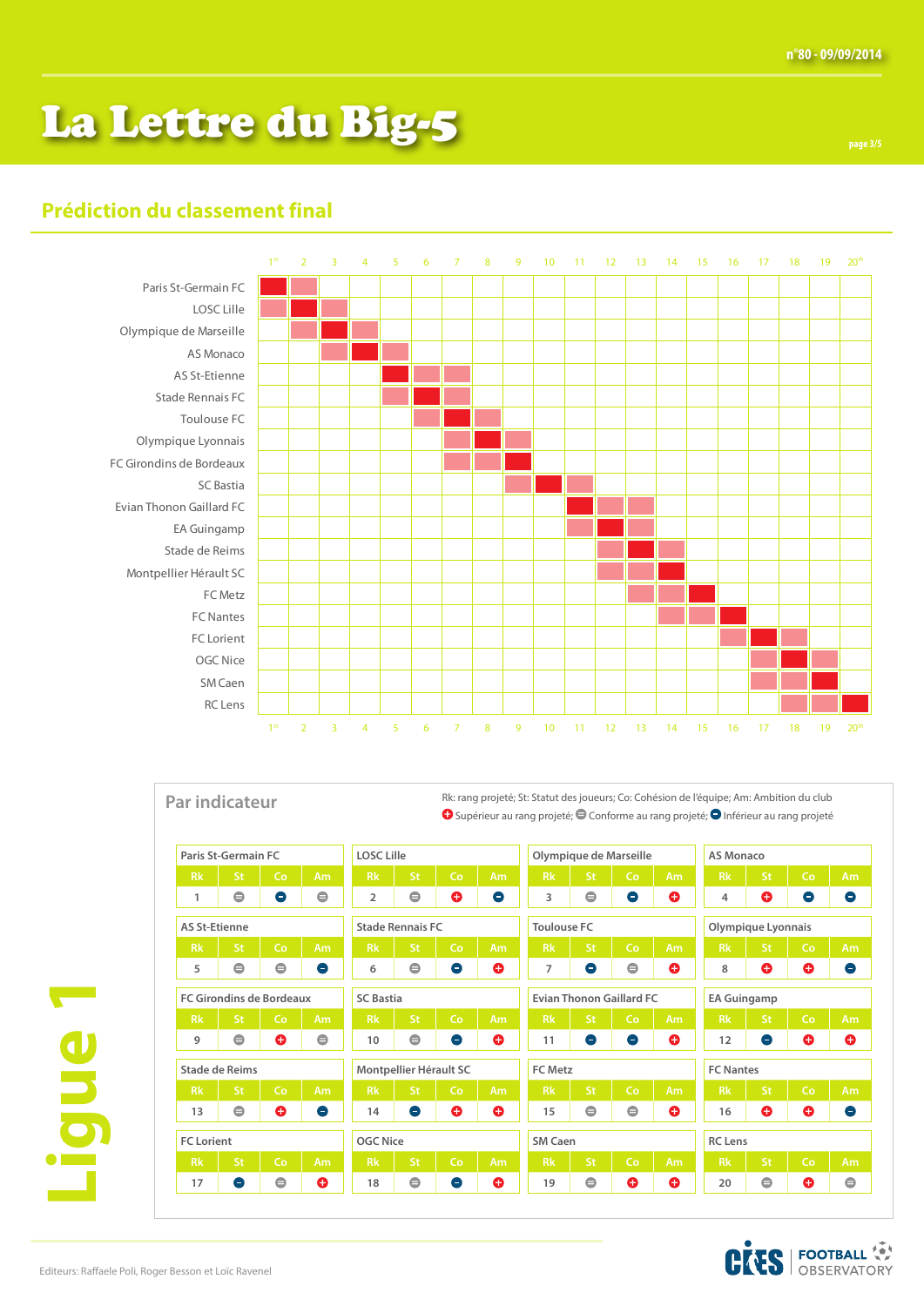#### **Prédiction du classement final**





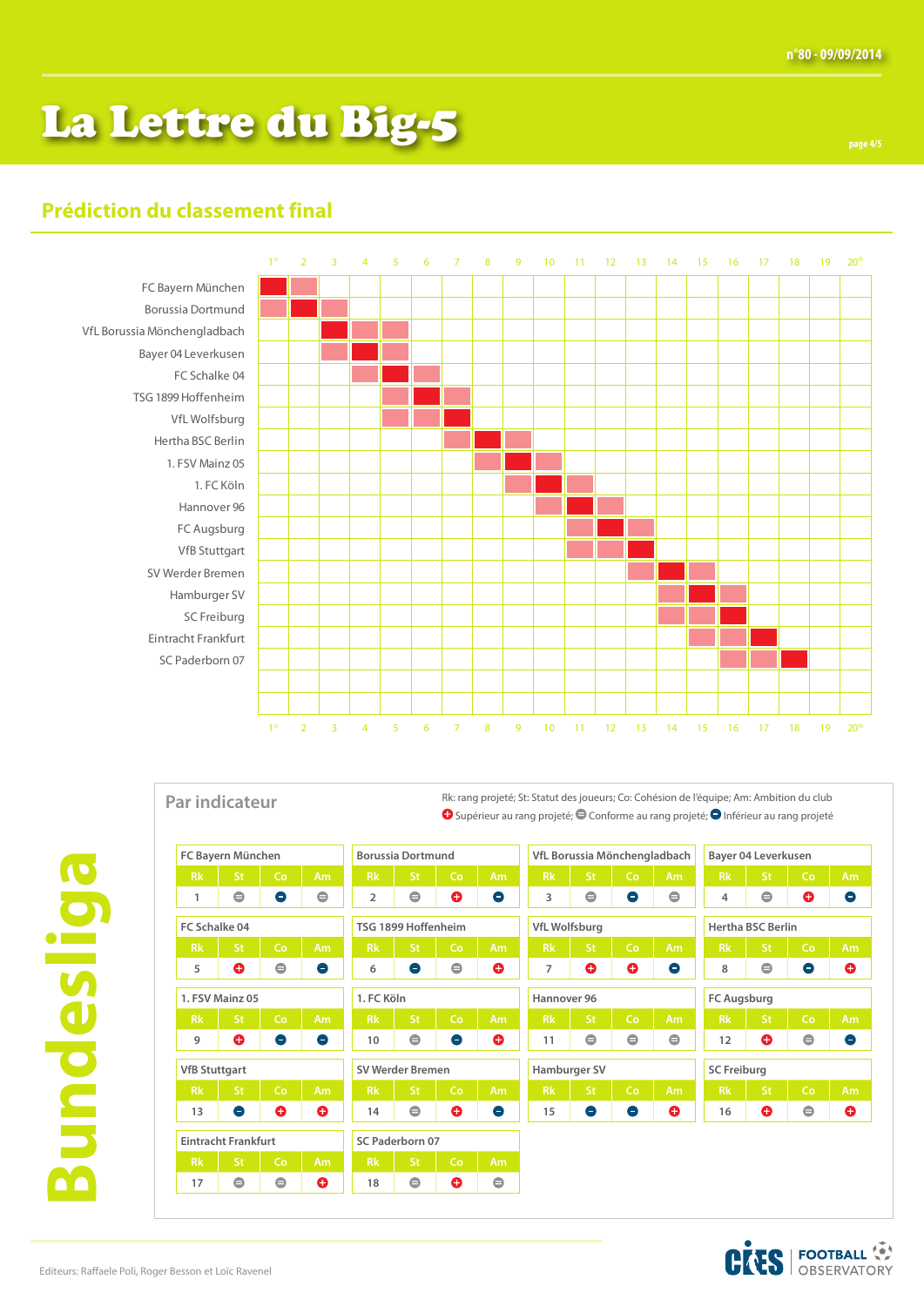## **Prédiction du classement final**



Rk: rang projeté; St: Statut des joueurs; Co: Cohésion de l'équipe; Am: Ambition du club **Par indicateur**  $\bullet$  Supérieur au rang projeté;  $\bullet$  Conforme au rang projeté;  $\bullet$  Inférieur au rang projeté **FC Bayern München Borussia Dortmund VfL Borussia Mönchengladbach Bayer 04 Leverkusen Rk St Co Am Rk St Co Am Rk St Co Am Rk St Co Am**  $\bullet$  $\bullet$  $\bullet$ **1 2 3 4 FC Schalke 04 TSG 1899 Hoffenheim VfL Wolfsburg Hertha BSC Berlin Rk St Co Am Rk St Co Am Rk St Co Am Rk St Co Am**  $\bigoplus$  $\bullet$  $\bullet$ **5 6 7 8 1. FSV Mainz 05 1. FC Köln Hannover 96 FC Augsburg Rk St Co Am Rk St Co Am Rk St Co Am Rk St Co Am**  $\bullet$  $\qquad \qquad \blacksquare$  $\bullet$ **9 10 11 12 VfB Stuttgart SV SV Werder Bremen Hamburger SV SC Freiburg Rk St Co Am Rk St Co Am Rk St Co Am Rk St Co Am** Ò  $\bullet$  $\bullet$ **13 14 14 14 14 15 16 16 16 11 16 Eintracht Frankfurt SC Paderborn 07 Rk St Co Am Rk St Co Am**

Ó

 $\bigcirc$ 

 $\bullet$ 



**17 e e e d** 18

**Bundesliga**

**Bundesliga**